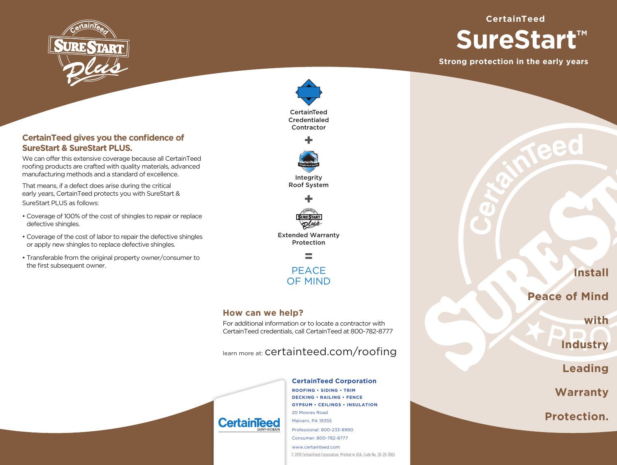

# **CertainTeed gives you the confidence of SureStart & SureStart PLUS.**

We can offer this extensive coverage because all CertainTeed roofing products are crafted with quality materials, advanced manufacturing methods and a standard of excellence.

That means, if a defect does arise during the critical early years, CertainTeed protects you with SureStart & SureStart PLUS as follows:

- Coverage of 100% of the cost of shingles to repair or replace defective shingles.
- Coverage of the cost of labor to repair the defective shingles or apply new shingles to replace defective shingles.
- Transferable from the original property owner/consumer to the first subsequent owner.







Extended Warranty Protection



## **How can we help?**

**CertainTe** 

For additional information or to locate a contractor with CertainTeed credentials, call CertainTeed at 800-782-8777

learn more at: certainteed.com/roofing

#### **CertainTeed Corporation**

**ROOFING • SIDING • TRIM DECKING • RAILING • FENCE GYPSUM • CEILINGS • INSULATION** 20 Moores Road Malvern, PA 19355 Professional: 800-233-8990 Consumer: 800-782-8777 www.certainteed.com

© 2019 CertainTeed Corporation, Printed in USA, Code No. 20-20-3065

**Install**

# **Peace of Mind**

**Strong protection in the early years**

**SureStart™**

**CertainTeed**

**with** 

**Industry**

**Leading**

**Warranty** 

**Protection.**